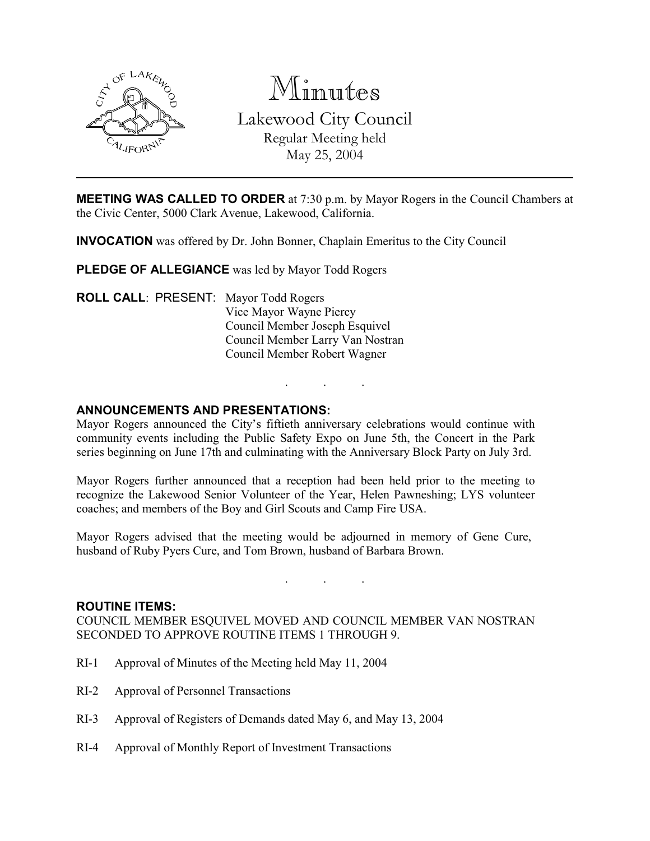

Minutes

Lakewood City Council

Regular Meeting held

May 25, 2004

**MEETING WAS CALLED TO ORDER** at 7:30 p.m. by Mayor Rogers in the Council Chambers at the Civic Center, 5000 Clark Avenue, Lakewood, California.

INVOCATION was offered by Dr. John Bonner, Chaplain Emeritus to the City Council

PLEDGE OF ALLEGIANCE was led by Mayor Todd Rogers

ROLL CALL: PRESENT: Mayor Todd Rogers Vice Mayor Wayne Piercy Council Member Joseph Esquivel Council Member Larry Van Nostran Council Member Robert Wagner

# ANNOUNCEMENTS AND PRESENTATIONS:

Mayor Rogers announced the City's fiftieth anniversary celebrations would continue with community events including the Public Safety Expo on June 5th, the Concert in the Park series beginning on June 17th and culminating with the Anniversary Block Party on July 3rd.

. . .

Mayor Rogers further announced that a reception had been held prior to the meeting to recognize the Lakewood Senior Volunteer of the Year, Helen Pawneshing; LYS volunteer coaches; and members of the Boy and Girl Scouts and Camp Fire USA.

Mayor Rogers advised that the meeting would be adjourned in memory of Gene Cure, husband of Ruby Pyers Cure, and Tom Brown, husband of Barbara Brown.

. . .

## ROUTINE ITEMS:

COUNCIL MEMBER ESQUIVEL MOVED AND COUNCIL MEMBER VAN NOSTRAN SECONDED TO APPROVE ROUTINE ITEMS 1 THROUGH 9.

- RI-1 Approval of Minutes of the Meeting held May 11, 2004
- RI-2 Approval of Personnel Transactions
- RI-3 Approval of Registers of Demands dated May 6, and May 13, 2004
- RI-4 Approval of Monthly Report of Investment Transactions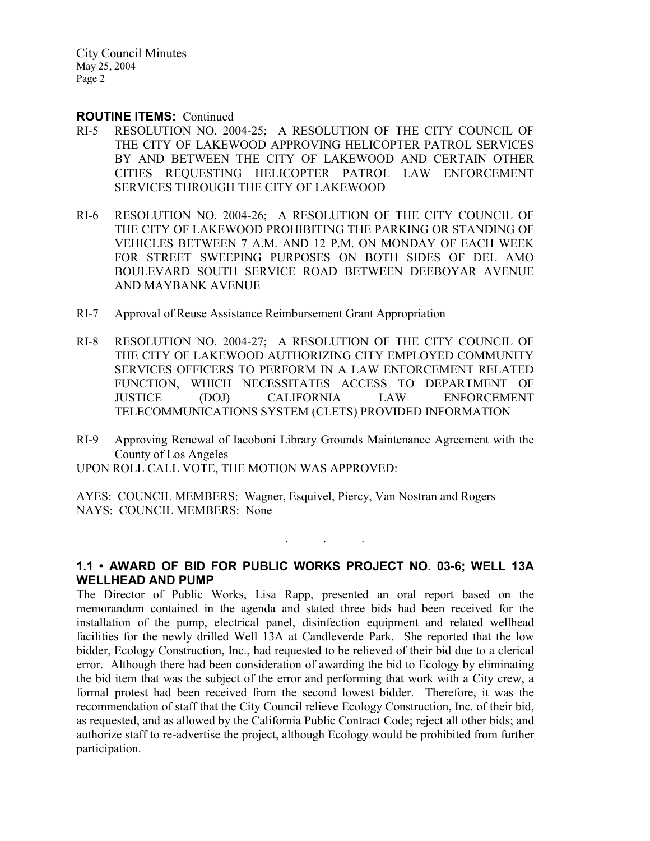City Council Minutes May 25, 2004 Page 2

#### ROUTINE ITEMS: Continued

- RI-5 RESOLUTION NO. 2004-25; A RESOLUTION OF THE CITY COUNCIL OF THE CITY OF LAKEWOOD APPROVING HELICOPTER PATROL SERVICES BY AND BETWEEN THE CITY OF LAKEWOOD AND CERTAIN OTHER CITIES REQUESTING HELICOPTER PATROL LAW ENFORCEMENT SERVICES THROUGH THE CITY OF LAKEWOOD
- RI-6 RESOLUTION NO. 2004-26; A RESOLUTION OF THE CITY COUNCIL OF THE CITY OF LAKEWOOD PROHIBITING THE PARKING OR STANDING OF VEHICLES BETWEEN 7 A.M. AND 12 P.M. ON MONDAY OF EACH WEEK FOR STREET SWEEPING PURPOSES ON BOTH SIDES OF DEL AMO BOULEVARD SOUTH SERVICE ROAD BETWEEN DEEBOYAR AVENUE AND MAYBANK AVENUE
- RI-7 Approval of Reuse Assistance Reimbursement Grant Appropriation
- RI-8 RESOLUTION NO. 2004-27; A RESOLUTION OF THE CITY COUNCIL OF THE CITY OF LAKEWOOD AUTHORIZING CITY EMPLOYED COMMUNITY SERVICES OFFICERS TO PERFORM IN A LAW ENFORCEMENT RELATED FUNCTION, WHICH NECESSITATES ACCESS TO DEPARTMENT OF JUSTICE (DOJ) CALIFORNIA LAW ENFORCEMENT TELECOMMUNICATIONS SYSTEM (CLETS) PROVIDED INFORMATION
- RI-9 Approving Renewal of Iacoboni Library Grounds Maintenance Agreement with the County of Los Angeles

UPON ROLL CALL VOTE, THE MOTION WAS APPROVED:

AYES: COUNCIL MEMBERS: Wagner, Esquivel, Piercy, Van Nostran and Rogers NAYS: COUNCIL MEMBERS: None

# 1.1 • AWARD OF BID FOR PUBLIC WORKS PROJECT NO. 03-6; WELL 13A WELLHEAD AND PUMP

. . .

The Director of Public Works, Lisa Rapp, presented an oral report based on the memorandum contained in the agenda and stated three bids had been received for the installation of the pump, electrical panel, disinfection equipment and related wellhead facilities for the newly drilled Well 13A at Candleverde Park. She reported that the low bidder, Ecology Construction, Inc., had requested to be relieved of their bid due to a clerical error. Although there had been consideration of awarding the bid to Ecology by eliminating the bid item that was the subject of the error and performing that work with a City crew, a formal protest had been received from the second lowest bidder. Therefore, it was the recommendation of staff that the City Council relieve Ecology Construction, Inc. of their bid, as requested, and as allowed by the California Public Contract Code; reject all other bids; and authorize staff to re-advertise the project, although Ecology would be prohibited from further participation.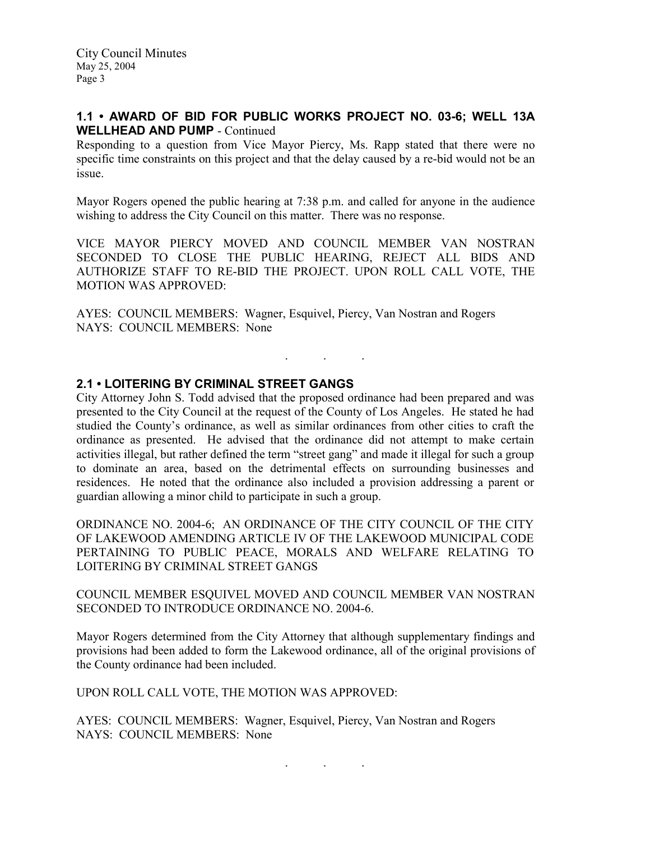City Council Minutes May 25, 2004 Page 3

## 1.1 • AWARD OF BID FOR PUBLIC WORKS PROJECT NO. 03-6; WELL 13A WELLHEAD AND PUMP - Continued

Responding to a question from Vice Mayor Piercy, Ms. Rapp stated that there were no specific time constraints on this project and that the delay caused by a re-bid would not be an issue.

Mayor Rogers opened the public hearing at 7:38 p.m. and called for anyone in the audience wishing to address the City Council on this matter. There was no response.

VICE MAYOR PIERCY MOVED AND COUNCIL MEMBER VAN NOSTRAN SECONDED TO CLOSE THE PUBLIC HEARING, REJECT ALL BIDS AND AUTHORIZE STAFF TO RE-BID THE PROJECT. UPON ROLL CALL VOTE, THE MOTION WAS APPROVED:

. . .

AYES: COUNCIL MEMBERS: Wagner, Esquivel, Piercy, Van Nostran and Rogers NAYS: COUNCIL MEMBERS: None

### 2.1 • LOITERING BY CRIMINAL STREET GANGS

City Attorney John S. Todd advised that the proposed ordinance had been prepared and was presented to the City Council at the request of the County of Los Angeles. He stated he had studied the County's ordinance, as well as similar ordinances from other cities to craft the ordinance as presented. He advised that the ordinance did not attempt to make certain activities illegal, but rather defined the term "street gang" and made it illegal for such a group to dominate an area, based on the detrimental effects on surrounding businesses and residences. He noted that the ordinance also included a provision addressing a parent or guardian allowing a minor child to participate in such a group.

ORDINANCE NO. 2004-6; AN ORDINANCE OF THE CITY COUNCIL OF THE CITY OF LAKEWOOD AMENDING ARTICLE IV OF THE LAKEWOOD MUNICIPAL CODE PERTAINING TO PUBLIC PEACE, MORALS AND WELFARE RELATING TO LOITERING BY CRIMINAL STREET GANGS

### COUNCIL MEMBER ESQUIVEL MOVED AND COUNCIL MEMBER VAN NOSTRAN SECONDED TO INTRODUCE ORDINANCE NO. 2004-6.

Mayor Rogers determined from the City Attorney that although supplementary findings and provisions had been added to form the Lakewood ordinance, all of the original provisions of the County ordinance had been included.

UPON ROLL CALL VOTE, THE MOTION WAS APPROVED:

AYES: COUNCIL MEMBERS: Wagner, Esquivel, Piercy, Van Nostran and Rogers NAYS: COUNCIL MEMBERS: None

. . .